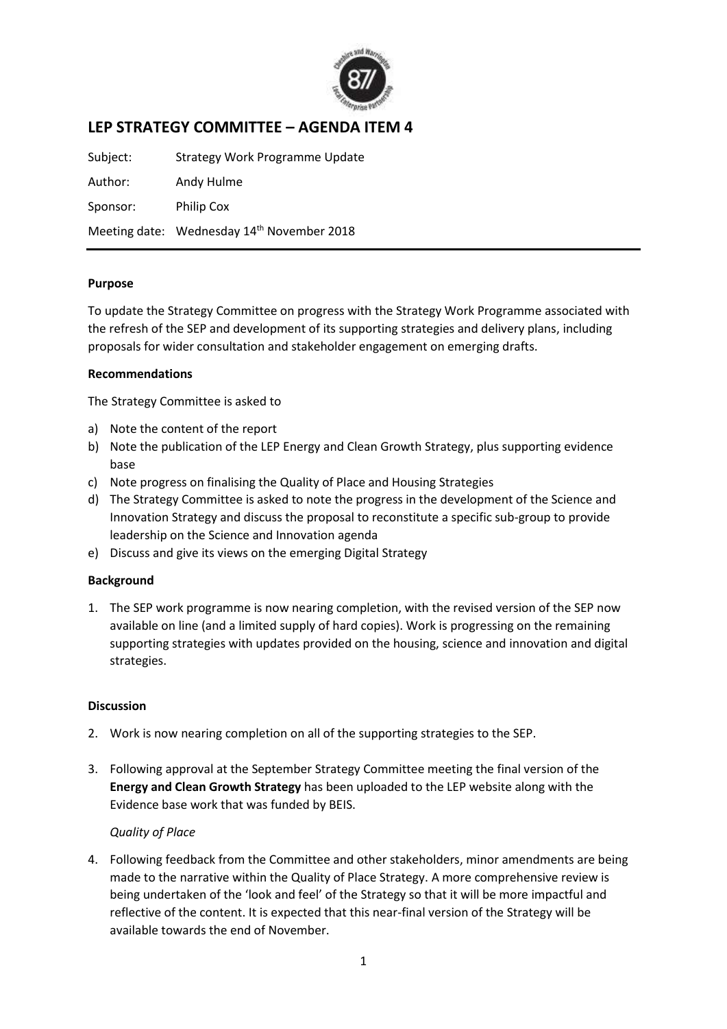

# **LEP STRATEGY COMMITTEE – AGENDA ITEM 4**

Subject: Strategy Work Programme Update Author: Andy Hulme Sponsor: Philip Cox Meeting date: Wednesday 14<sup>th</sup> November 2018

#### **Purpose**

To update the Strategy Committee on progress with the Strategy Work Programme associated with the refresh of the SEP and development of its supporting strategies and delivery plans, including proposals for wider consultation and stakeholder engagement on emerging drafts.

### **Recommendations**

The Strategy Committee is asked to

- a) Note the content of the report
- b) Note the publication of the LEP Energy and Clean Growth Strategy, plus supporting evidence base
- c) Note progress on finalising the Quality of Place and Housing Strategies
- d) The Strategy Committee is asked to note the progress in the development of the Science and Innovation Strategy and discuss the proposal to reconstitute a specific sub-group to provide leadership on the Science and Innovation agenda
- e) Discuss and give its views on the emerging Digital Strategy

#### **Background**

1. The SEP work programme is now nearing completion, with the revised version of the SEP now available on line (and a limited supply of hard copies). Work is progressing on the remaining supporting strategies with updates provided on the housing, science and innovation and digital strategies.

#### **Discussion**

- 2. Work is now nearing completion on all of the supporting strategies to the SEP.
- 3. Following approval at the September Strategy Committee meeting the final version of the **Energy and Clean Growth Strategy** has been uploaded to the LEP website along with the Evidence base work that was funded by BEIS.

### *Quality of Place*

4. Following feedback from the Committee and other stakeholders, minor amendments are being made to the narrative within the Quality of Place Strategy. A more comprehensive review is being undertaken of the 'look and feel' of the Strategy so that it will be more impactful and reflective of the content. It is expected that this near-final version of the Strategy will be available towards the end of November.